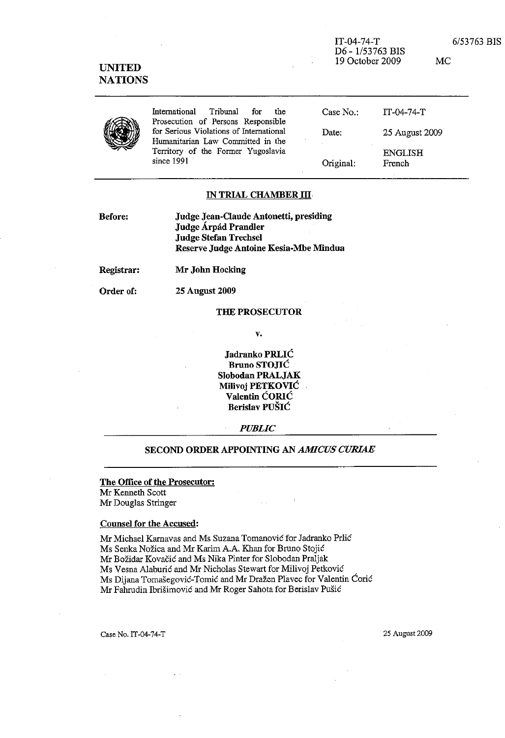| <b>UNITED</b><br><b>NATIONS</b> |                                                                               | $IT-04-74-T$<br>D6 - 1/53763 BIS<br>19 October 2009 |                | 6/53763 BIS<br>MC. |
|---------------------------------|-------------------------------------------------------------------------------|-----------------------------------------------------|----------------|--------------------|
|                                 | International<br>Tribunal<br>for<br>the<br>Prosecution of Persons Responsible | Case $No.$ :                                        | $IT-04-74-T$   |                    |
|                                 | for Serious Violations of International<br>Humanitarian Law Committed in the  | Date:                                               | 25 August 2009 |                    |
|                                 | Territory of the Former Yugoslavia                                            |                                                     | ENGLISH        |                    |

Original:

### IN TRIAL CHAMBER III

| Before: | Judge Jean-Claude Antonetti, presiding |
|---------|----------------------------------------|
|         | Judge Árpád Prandler                   |
|         | <b>Judge Stefan Trechsel</b>           |
|         | Reserve Judge Antoine Kesia-Mbe Mindua |

Mr John Hocking Registrar:

since 1991

Order of:

**25 August 2009** 

#### **THE PROSECUTOR**

v.

Jadranko PRLIĆ **Bruno STOJIĆ** Slobodan PRALJAK **Milivoj PETKOVIĆ** Valentin ĆORIĆ Berislav PUŠIĆ

**PUBLIC** 

# SECOND ORDER APPOINTING AN AMICUS CURIAE

## The Office of the Prosecutor:

Mr Kenneth Scott Mr Douglas Stringer

#### **Counsel for the Accused:**

Mr Michael Karnavas and Ms Suzana Tomanović for Jadranko Prlić Ms Senka Nožica and Mr Karim A.A. Khan for Bruno Stojić Mr Božidar Kovačić and Ms Nika Pinter for Slobodan Praljak Ms Vesna Alaburić and Mr Nicholas Stewart for Milivoj Petković Ms Dijana Tomašegović-Tomić and Mr Dražen Plavec for Valentin Ćorić Mr Fahrudin Ibrišimović and Mr Roger Sahota for Berislav Pušić

Case No. IT-04-74-T

25 August 2009

**ENGLISH** 

French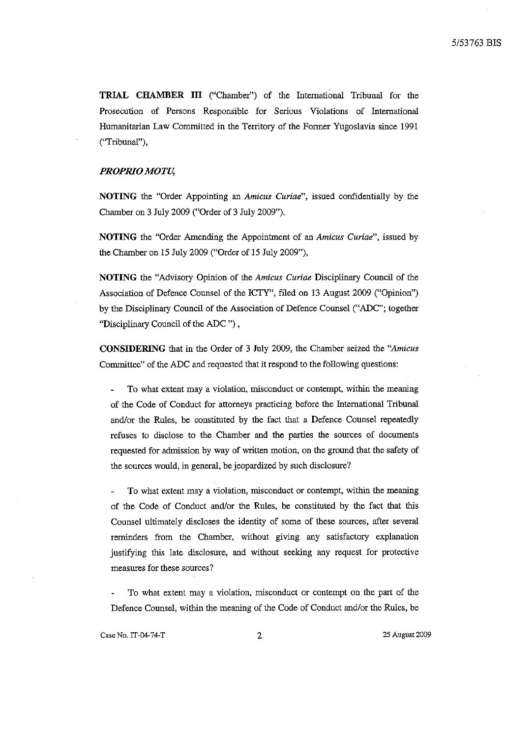**TRIAL CHAMBER III** ("Chamber") of the International Tribunal for the Proseeution of Persons Responsible for Serious Violations of International Humanitarian Law Committed јп the Territory of the Former Yugoslavia sinee 1991 ("Tribunal"),

## PROPRIO MOTU,

**NOTING** the "Order Appointing an *Amicus Curiae",* issued eonfidentially Ьу the Chamber оп 3 July 2009 ("Order of 3 July 2009"),

NOTING the "Order Amending the Appointment of an *Amicus Curiae*", issued by the Chamber оп 15 July 2009 ("Order of 15 July 2009"),

**NOTING** the "Advisory Орјпјоп of the *Amicus Curiae* Diseiplinary Couneil of the Association of Defence Counsel of the ICTY", filed on 13 August 2009 ("Opinion") Ьу the Diseiplinary Couneil of the Association of Defenee Counsel ("ADC"; together "Diseiplinary Couneil of the ЛDС ") ,

**CONSIDERING** that јп the Order of 3 ЈиЈу 2009, the Chamber seized the *"Amicus*  Committee" of the ADC and requested that it respond to the following questions:

То what extent тауа violation, misconduet or eontempt, within the meaning of the Code of Conduet for attorneys praetieing before the International Tribunal and/or the Rules, be constituted by the fact that a Defence Counsel repeatedly refuses to diselose to the Chamber and the parries the sourees of documents requested for admission Ьу way of written motion, оп the ground that the safety of the sources would, in general, be jeopardized by such disclosure?

То what extent тау а violation, miseonduct or eontempt, within the meaning of the Code of Conduct and/or the Rules, be constituted by the fact that this Counsel ultimately diseloses the identity of *some* of these sourees, after several reminders from the Charnber, without giving anу satisfaetory explanation justifying this late diselosure, and without seeking anу request for protective measures for these sourees?

То what extent тау а violation, miseonduct or eontempt оп the рат! of the Defence Counsel, within the meaning of the Code of Conduct and/or the Rules, be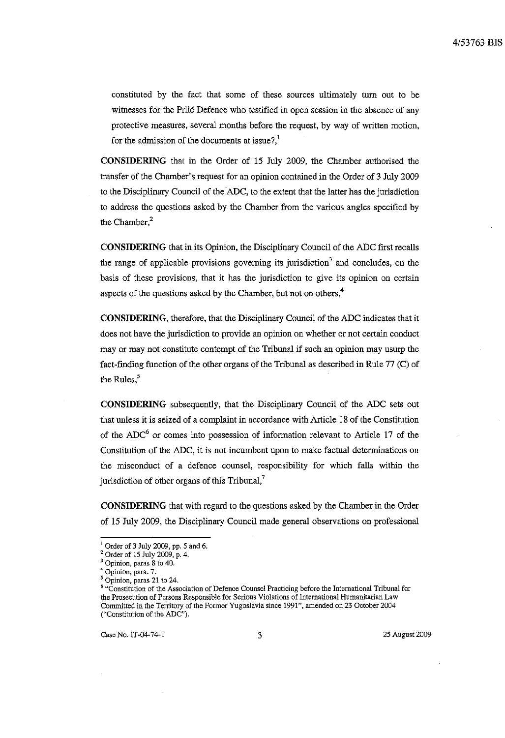constituted by the fact that some of these sources ultimately turn out to be witnesses for the Prlić Defence who testified in open session in the absence of any protective measures, several months before the request, by way of written motion, for the admission of the documents at issue?.<sup>1</sup>

CONSIDERING that in the Order of 15 July 2009, the Chamber authorised the transfer of the Chamber's request for an opinion contained in the Order of 3 July 2009 to the Disciplinary Council of the ADC, to the extent that the latter has the jurisdiction to address the questions asked by the Chamber from the various angles specified by the Chamber.<sup>2</sup>

**CONSIDERING** that in its Opinion, the Disciplinary Council of the ADC first recalls the range of applicable provisions governing its jurisdiction<sup>3</sup> and concludes, on the basis of these provisions, that it has the jurisdiction to give its opinion on certain aspects of the questions asked by the Chamber, but not on others.<sup>4</sup>

CONSIDERING, therefore, that the Disciplinary Council of the ADC indicates that it does not have the jurisdiction to provide an opinion on whether or not certain conduct may or may not constitute contempt of the Tribunal if such an opinion may usurp the fact-finding function of the other organs of the Tribunal as described in Rule 77 (C) of the Rules.<sup>5</sup>

CONSIDERING subsequently, that the Disciplinary Council of the ADC sets out that unless it is seized of a complaint in accordance with Article 18 of the Constitution of the ADC<sup>6</sup> or comes into possession of information relevant to Article 17 of the Constitution of the ADC, it is not incumbent upon to make factual determinations on the misconduct of a defence counsel, responsibility for which falls within the jurisdiction of other organs of this Tribunal, $^7$ 

**CONSIDERING** that with regard to the questions asked by the Chamber in the Order of 15 July 2009, the Disciplinary Council made general observations on professional

Case No. IT-04-74-T

25 August 2009

 $1$  Order of 3 July 2009, pp. 5 and 6.

<sup>&</sup>lt;sup>2</sup> Order of 15 July 2009, p. 4.

Opinion, paras 8 to 40.

Opinion, para. 7.

Opinion, paras 21 to 24.

<sup>&</sup>lt;sup>6</sup> "Constitution of the Association of Defence Counsel Practicing before the International Tribunal for the Prosecution of Persons Responsible for Serious Violations of International Humanitarian Law Committed in the Territory of the Former Yugoslavia since 1991", amended on 23 October 2004 ("Constitution of the ADC").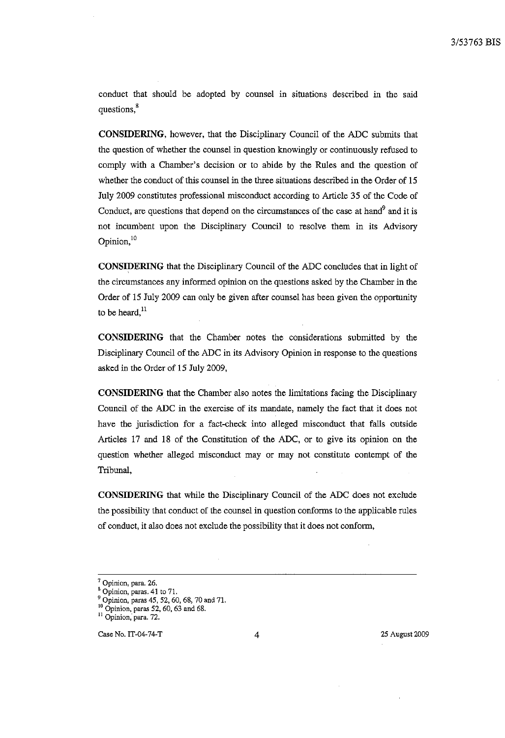conduct that should be adopted by counsel in situations described in the said questions.<sup>8</sup>

CONSIDERING, however, that the Disciplinary Council of the ADC submits that the question of whether the counsel in question knowingly or continuously refused to comply with a Chamber's decision or to abide by the Rules and the question of whether the conduct of this counsel in the three situations described in the Order of 15 July 2009 constitutes professional misconduct according to Article 35 of the Code of Conduct, are questions that depend on the circumstances of the case at hand<sup>9</sup> and it is not incumbent upon the Disciplinary Council to resolve them in its Advisory Opinion, $10$ 

CONSIDERING that the Disciplinary Council of the ADC concludes that in light of the circumstances any informed opinion on the questions asked by the Chamber in the Order of 15 July 2009 can only be given after counsel has been given the opportunity to be heard, $^{11}$ 

**CONSIDERING** that the Chamber notes the considerations submitted by the Disciplinary Council of the ADC in its Advisory Opinion in response to the questions asked in the Order of 15 July 2009,

CONSIDERING that the Chamber also notes the limitations facing the Disciplinary Council of the ADC in the exercise of its mandate, namely the fact that it does not have the jurisdiction for a fact-check into alleged misconduct that falls outside Articles 17 and 18 of the Constitution of the ADC, or to give its opinion on the question whether alleged misconduct may or may not constitute contempt of the Tribunal.

CONSIDERING that while the Disciplinary Council of the ADC does not exclude the possibility that conduct of the counsel in question conforms to the applicable rules of conduct, it also does not exclude the possibility that it does not conform,

Case No. IT-04-74-T

<sup>&</sup>lt;sup>7</sup> Opinion, para. 26.

Opinion, paras. 41 to 71.

Opinion, paras 45, 52, 60, 68, 70 and 71.

 $^{10}$  Opinion, paras 52, 60, 63 and 68.

<sup>&</sup>lt;sup>11</sup> Opinion, para. 72.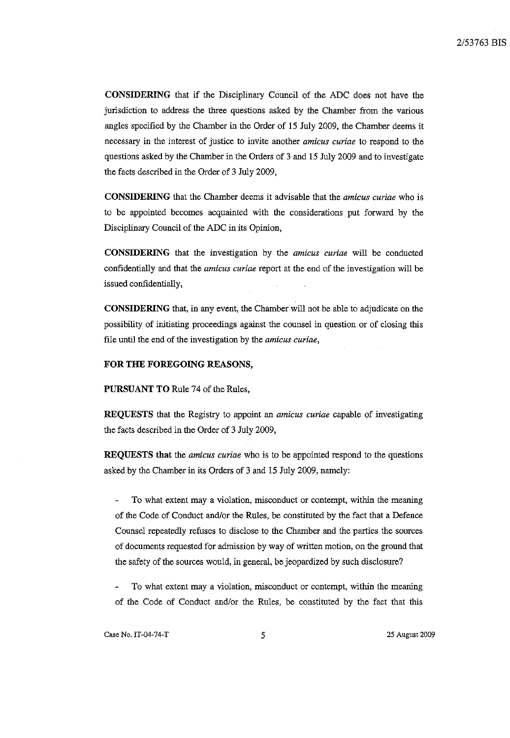**CONSIDERING** that if the Disciplinary Council of the ADC does not have the jurisdiction (о address the three questions asked Ьу the Chamber *from* the various angles specified Ьу the Chamber in the Order of 15 Јиlу 2009, the Chamber deems it necessary in the interest of justice to invite another *amicus curiae* to respond to the questions asked by the Chamber in the Orders of 3 and 15 July 2009 and to investigate the facts described in the Order of 3 Јиlу 2009,

СОNSIDЕШNG that the Chamber deems it advisable that the *amicus curiae* who is to be appointed becomes acquainted with the considerations put forward by the Disciplinary Council of the ADC in its Opinion,

**CONSIDERING** that the investigation Ьу the *amicus curiae* will Ье conducted confidentially and that the *amicus curiae* report at the end of the investigation will be issued confidentially,

CONSIDERING that, in any event, the Chamber will not be able to adjudicate on the possibility of initiating proceedings against the counsel in question or of closing this file until the end of the investigation by the *amicus curiae*,

### **FOR** ТНЕ **FOREGOING REASONS,**

**PURSUANT** ТО Rule 74 of the *Rules,* 

**REQUESTS** that the Registry to appoint an *amicus curiae* capable of investigating the facts described in the Order of 3 Jиly 2009,

**REQUESTS** that the *amicus curiae* who is to be appointed respond to the questions asked Ьу the Chamber in its Orders of 3 and 15 Јиlу 2009, патеlу:

То what extent тау а violation, misconduct or contempt, within the meaning of the Code of *Conduct* and/or the *Rules,* Ье constituted Ьу the fact that а Defence Counsel repeatedly refuses (о disclose (о the Chamber and the parties the *sources*  of *documents* requested for admission Ьу way of written тойоп, оп the ground that the safety of the sources would, in general, be jeopardized by such disclosure?

То what extent may a violation, misconduct or contempt, within the meaning of the Code of Conduct and/or the *Rules,* Ье coustituted Ьу the fact that this